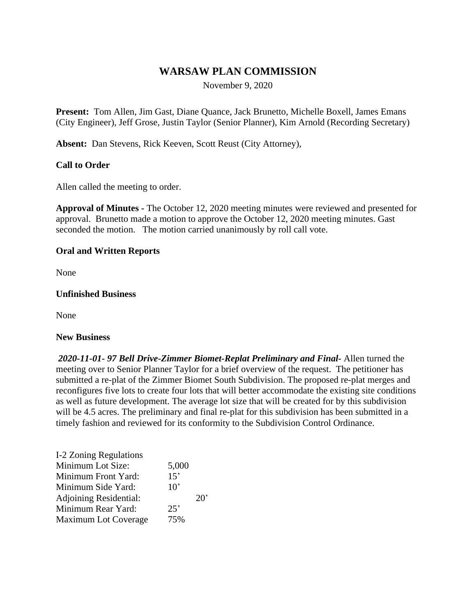# **WARSAW PLAN COMMISSION**

November 9, 2020

**Present:** Tom Allen, Jim Gast, Diane Quance, Jack Brunetto, Michelle Boxell, James Emans (City Engineer), Jeff Grose, Justin Taylor (Senior Planner), Kim Arnold (Recording Secretary)

**Absent:** Dan Stevens, Rick Keeven, Scott Reust (City Attorney),

# **Call to Order**

Allen called the meeting to order.

**Approval of Minutes -** The October 12, 2020 meeting minutes were reviewed and presented for approval. Brunetto made a motion to approve the October 12, 2020 meeting minutes. Gast seconded the motion. The motion carried unanimously by roll call vote.

# **Oral and Written Reports**

None

#### **Unfinished Business**

None

#### **New Business**

*2020-11-01- 97 Bell Drive-Zimmer Biomet-Replat Preliminary and Final-* Allen turned the meeting over to Senior Planner Taylor for a brief overview of the request. The petitioner has submitted a re-plat of the Zimmer Biomet South Subdivision. The proposed re-plat merges and reconfigures five lots to create four lots that will better accommodate the existing site conditions as well as future development. The average lot size that will be created for by this subdivision will be 4.5 acres. The preliminary and final re-plat for this subdivision has been submitted in a timely fashion and reviewed for its conformity to the Subdivision Control Ordinance.

| I-2 Zoning Regulations        |              |              |
|-------------------------------|--------------|--------------|
| Minimum Lot Size:             | 5,000        |              |
| Minimum Front Yard:           | 15'          |              |
| Minimum Side Yard:            | $10^{\circ}$ |              |
| <b>Adjoining Residential:</b> |              | $20^{\circ}$ |
| Minimum Rear Yard:            | 25'          |              |
| Maximum Lot Coverage          | 75%          |              |